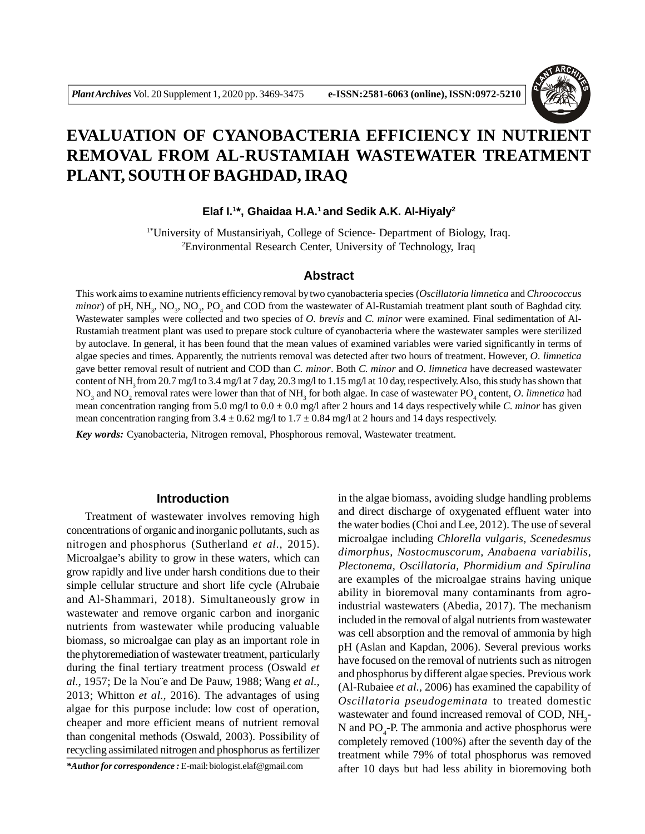

# **EVALUATION OF CYANOBACTERIA EFFICIENCY IN NUTRIENT REMOVAL FROM AL-RUSTAMIAH WASTEWATER TREATMENT PLANT, SOUTH OF BAGHDAD, IRAQ**

**Elaf I.<sup>1</sup> \*, Ghaidaa H.A.<sup>1</sup>and Sedik A.K. Al-Hiyaly<sup>2</sup>**

1\*University of Mustansiriyah, College of Science- Department of Biology, Iraq. <sup>2</sup>Environmental Research Center, University of Technology, Iraq

#### **Abstract**

This work aims to examine nutrients efficiency removal by two cyanobacteria species (*Oscillatoria limnetica* and *Chroococcus*  $minor$ ) of pH, NH<sub>3</sub>, NO<sub>3</sub>, NO<sub>2</sub>, PO<sub>4</sub> and COD from the wastewater of Al-Rustamiah treatment plant south of Baghdad city. Wastewater samples were collected and two species of *O. brevis* and *C. minor* were examined. Final sedimentation of Al-Rustamiah treatment plant was used to prepare stock culture of cyanobacteria where the wastewater samples were sterilized by autoclave. In general, it has been found that the mean values of examined variables were varied significantly in terms of algae species and times. Apparently, the nutrients removal was detected after two hours of treatment. However, *O. limnetica* gave better removal result of nutrient and COD than *C. minor*. Both *C. minor* and *O. limnetica* have decreased wastewater content of NH<sub>3</sub> from 20.7 mg/l to 3.4 mg/l at 7 day, 20.3 mg/l to 1.15 mg/l at 10 day, respectively. Also, this study has shown that  $NO_3$  and  $NO_2$  removal rates were lower than that of  $NH_3$  for both algae. In case of wastewater  $PO_4$  content,  $O$ . limnetica had mean concentration ranging from  $5.0 \text{ mg}/1$  to  $0.0 \pm 0.0 \text{ mg}/1$  after 2 hours and 14 days respectively while *C. minor* has given mean concentration ranging from  $3.4 \pm 0.62$  mg/l to  $1.7 \pm 0.84$  mg/l at 2 hours and 14 days respectively.

*Key words:* Cyanobacteria, Nitrogen removal, Phosphorous removal, Wastewater treatment.

## **Introduction**

Treatment of wastewater involves removing high concentrations of organic and inorganic pollutants, such as nitrogen and phosphorus (Sutherland *et al.,* 2015). Microalgae's ability to grow in these waters, which can grow rapidly and live under harsh conditions due to their simple cellular structure and short life cycle (Alrubaie and Al-Shammari, 2018). Simultaneously grow in wastewater and remove organic carbon and inorganic nutrients from wastewater while producing valuable biomass, so microalgae can play as an important role in the phytoremediation of wastewater treatment, particularly during the final tertiary treatment process (Oswald *et al.,* 1957; De la Nou¨e and De Pauw, 1988; Wang *et al.,* 2013; Whitton *et al.,* 2016). The advantages of using algae for this purpose include: low cost of operation, cheaper and more efficient means of nutrient removal than congenital methods (Oswald, 2003). Possibility of recycling assimilated nitrogen and phosphorus as fertilizer

*\*Author for correspondence :* E-mail: biologist.elaf@gmail.com

in the algae biomass, avoiding sludge handling problems and direct discharge of oxygenated effluent water into the water bodies (Choi and Lee, 2012). The use of several microalgae including *Chlorella vulgaris, Scenedesmus dimorphus, Nostocmuscorum, Anabaena variabilis, Plectonema, Oscillatoria, Phormidium and Spirulina* are examples of the microalgae strains having unique ability in bioremoval many contaminants from agroindustrial wastewaters (Abedia, 2017). The mechanism included in the removal of algal nutrients from wastewater was cell absorption and the removal of ammonia by high pH (Aslan and Kapdan, 2006). Several previous works have focused on the removal of nutrients such as nitrogen and phosphorus by different algae species. Previous work (Al-Rubaiee *et al.,* 2006) has examined the capability of *Oscillatoria pseudogeminata* to treated domestic wastewater and found increased removal of COD,  $NH_3$ -N and  $PO_4$ -P. The ammonia and active phosphorus were completely removed (100%) after the seventh day of the treatment while 79% of total phosphorus was removed after 10 days but had less ability in bioremoving both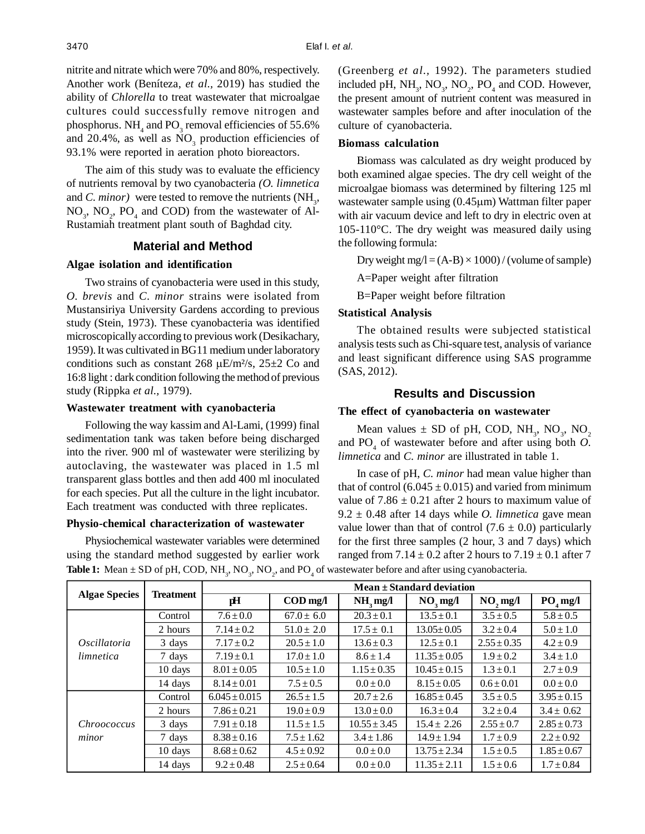nitrite and nitrate which were 70% and 80%, respectively. Another work (Beníteza, *et al.,* 2019) has studied the ability of *Chlorella* to treat wastewater that microalgae cultures could successfully remove nitrogen and phosphorus.  $NH_4$  and  $PO_3$  removal efficiencies of 55.6% and 20.4%, as well as  $NO<sub>3</sub>$  production efficiencies of 93.1% were reported in aeration photo bioreactors.

The aim of this study was to evaluate the efficiency of nutrients removal by two cyanobacteria *(O. limnetica* and *C. minor*) were tested to remove the nutrients  $(NH<sub>3</sub>,$  $NO_3$ ,  $NO_2$ ,  $PO_4$  and COD) from the wastewater of Al-Rustamiah treatment plant south of Baghdad city.

#### **Material and Method**

## **Algae isolation and identification**

Two strains of cyanobacteria were used in this study, *O. brevis* and *C. minor* strains were isolated from Mustansiriya University Gardens according to previous study (Stein, 1973). These cyanobacteria was identified microscopically according to previous work (Desikachary, 1959). It was cultivated in BG11 medium under laboratory conditions such as constant 268  $\mu$ E/m<sup>2</sup>/s, 25 $\pm$ 2 Co and 16:8 light : dark condition following the method of previous study (Rippka *et al.,* 1979).

#### **Wastewater treatment with cyanobacteria**

Following the way kassim and Al-Lami, (1999) final sedimentation tank was taken before being discharged into the river. 900 ml of wastewater were sterilizing by autoclaving, the wastewater was placed in 1.5 ml transparent glass bottles and then add 400 ml inoculated for each species. Put all the culture in the light incubator. Each treatment was conducted with three replicates.

#### **Physio-chemical characterization of wastewater**

Physiochemical wastewater variables were determined using the standard method suggested by earlier work (Greenberg *et al.,* 1992). The parameters studied included pH,  $NH_3$ ,  $NO_3$ ,  $NO_2$ ,  $PO_4$  and COD. However, the present amount of nutrient content was measured in wastewater samples before and after inoculation of the culture of cyanobacteria.

#### **Biomass calculation**

Biomass was calculated as dry weight produced by both examined algae species. The dry cell weight of the microalgae biomass was determined by filtering 125 ml wastewater sample using  $(0.45 \mu m)$  Wattman filter paper with air vacuum device and left to dry in electric oven at 105-110°C. The dry weight was measured daily using the following formula:

Dry weight mg/l =  $(A-B) \times 1000$  / (volume of sample)

A=Paper weight after filtration

B=Paper weight before filtration

# **Statistical Analysis**

The obtained results were subjected statistical analysis tests such as Chi-square test, analysis of variance and least significant difference using SAS programme (SAS, 2012).

# **Results and Discussion**

# **The effect of cyanobacteria on wastewater**

Mean values  $\pm$  SD of pH, COD, NH<sub>3</sub>, NO<sub>3</sub>, NO<sub>2</sub> and  $PO_4$  of wastewater before and after using both  $O$ . *limnetica* and *C. minor* are illustrated in table 1.

In case of pH, *C. minor* had mean value higher than that of control (6.045  $\pm$  0.015) and varied from minimum value of  $7.86 \pm 0.21$  after 2 hours to maximum value of  $9.2 \pm 0.48$  after 14 days while *O. limnetica* gave mean value lower than that of control  $(7.6 \pm 0.0)$  particularly for the first three samples (2 hour, 3 and 7 days) which ranged from  $7.14 \pm 0.2$  after 2 hours to  $7.19 \pm 0.1$  after 7

| <b>Algae Species</b>      | <b>Treatment</b> | $Mean \pm Standard$ deviation |                                       |                  |                        |                 |                 |
|---------------------------|------------------|-------------------------------|---------------------------------------|------------------|------------------------|-----------------|-----------------|
|                           |                  | pH                            | $\mathbf{COD} \mathbf{mg}/\mathbf{I}$ | $NH3$ mg/l       | $NO$ <sub>3</sub> mg/l | NO, mg/l        | $PO4$ mg/l      |
| Oscillatoria<br>limnetica | Control          | $7.6 \pm 0.0$                 | $67.0 \pm 6.0$                        | $20.3 \pm 0.1$   | $13.5 \pm 0.1$         | $3.5 \pm 0.5$   | $5.8 \pm 0.5$   |
|                           | 2 hours          | $7.14 \pm 0.2$                | $51.0 \pm 2.0$                        | $17.5 \pm 0.1$   | $13.05 \pm 0.05$       | $3.2 \pm 0.4$   | $5.0 \pm 1.0$   |
|                           | 3 days           | $7.17 \pm 0.2$                | $20.5 \pm 1.0$                        | $13.6 \pm 0.3$   | $12.5 \pm 0.1$         | $2.55 \pm 0.35$ | $4.2 \pm 0.9$   |
|                           | 7 days           | $7.19 \pm 0.1$                | $17.0 \pm 1.0$                        | $8.6 \pm 1.4$    | $11.35 \pm 0.05$       | $1.9 \pm 0.2$   | $3.4 \pm 1.0$   |
|                           | 10 days          | $8.01 \pm 0.05$               | $10.5 \pm 1.0$                        | $1.15 \pm 0.35$  | $10.45 \pm 0.15$       | $1.3 \pm 0.1$   | $2.7 \pm 0.9$   |
|                           | 14 days          | $8.14 \pm 0.01$               | $7.5 \pm 0.5$                         | $0.0 \pm 0.0$    | $8.15 \pm 0.05$        | $0.6 \pm 0.01$  | $0.0 \pm 0.0$   |
| Chroococcus<br>minor      | Control          | $6.045 \pm 0.015$             | $26.5 \pm 1.5$                        | $20.7 \pm 2.6$   | $16.85 \pm 0.45$       | $3.5 \pm 0.5$   | $3.95 \pm 0.15$ |
|                           | 2 hours          | $7.86 \pm 0.21$               | $19.0 \pm 0.9$                        | $13.0 \pm 0.0$   | $16.3 \pm 0.4$         | $3.2 \pm 0.4$   | $3.4 \pm 0.62$  |
|                           | 3 days           | $7.91 \pm 0.18$               | $11.5 \pm 1.5$                        | $10.55 \pm 3.45$ | $15.4 \pm 2.26$        | $2.55 \pm 0.7$  | $2.85 \pm 0.73$ |
|                           | 7 days           | $8.38 \pm 0.16$               | $7.5 \pm 1.62$                        | $3.4 \pm 1.86$   | $14.9 \pm 1.94$        | $1.7 \pm 0.9$   | $2.2 \pm 0.92$  |
|                           | 10 days          | $8.68 \pm 0.62$               | $4.5 \pm 0.92$                        | $0.0 \pm 0.0$    | $13.75 \pm 2.34$       | $1.5 \pm 0.5$   | $1.85 \pm 0.67$ |
|                           | 14 days          | $9.2 \pm 0.48$                | $2.5 \pm 0.64$                        | $0.0 \pm 0.0$    | $11.35 \pm 2.11$       | $1.5 \pm 0.6$   | $1.7 \pm 0.84$  |

**Table 1:** Mean  $\pm$  SD of pH, COD, NH<sub>3</sub>, NO<sub>3</sub>, NO<sub>2</sub>, and PO<sub>4</sub> of wastewater before and after using cyanobacteria.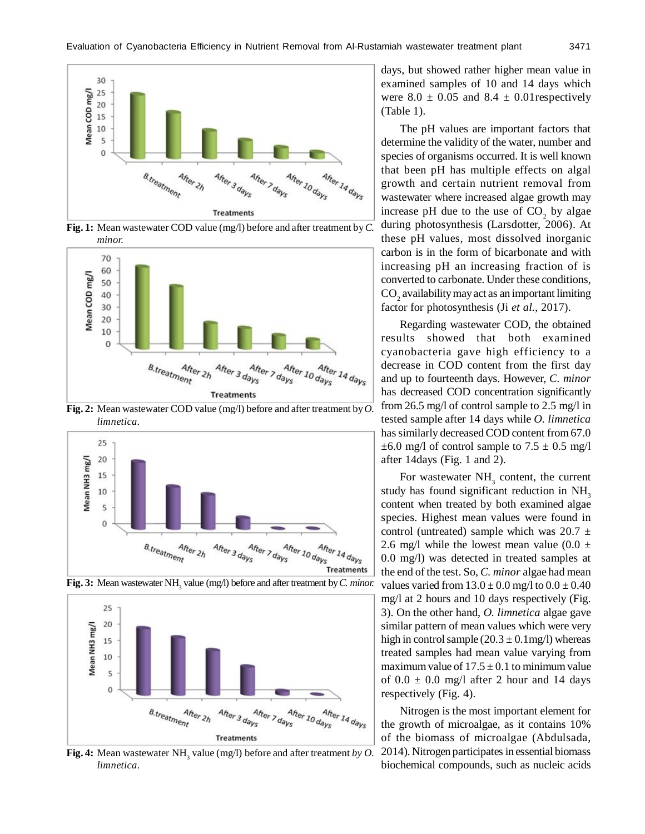

**Fig. 1:** Mean wastewater COD value (mg/l) before and after treatment by *C. minor.*



**Fig. 2:** Mean wastewater COD value (mg/l) before and after treatment by *O. limnetica.*



**Fig. 3:** Mean wastewater NH<sub>3</sub> value (mg/l) before and after treatment by *C. minor.* 



**Fig. 4:** Mean wastewater  $NH_3$  value (mg/l) before and after treatment *by O*. *limnetica.*

days, but showed rather higher mean value in examined samples of 10 and 14 days which were  $8.0 \pm 0.05$  and  $8.4 \pm 0.01$  respectively (Table 1).

The pH values are important factors that determine the validity of the water, number and species of organisms occurred. It is well known that been pH has multiple effects on algal growth and certain nutrient removal from wastewater where increased algae growth may increase pH due to the use of  $CO<sub>2</sub>$  by algae during photosynthesis (Larsdotter, 2006). At these pH values, most dissolved inorganic carbon is in the form of bicarbonate and with increasing pH an increasing fraction of is converted to carbonate. Under these conditions,  $\mathrm{CO}_2^{}$  availability may act as an important limiting factor for photosynthesis (Ji *et al.,* 2017).

Regarding wastewater COD, the obtained results showed that both examined cyanobacteria gave high efficiency to a decrease in COD content from the first day and up to fourteenth days. However, *C. minor* has decreased COD concentration significantly from 26.5 mg/l of control sample to 2.5 mg/l in tested sample after 14 days while *O. limnetica* has similarly decreased COD content from 67.0  $\pm 6.0$  mg/l of control sample to  $7.5 \pm 0.5$  mg/l after 14days (Fig. 1 and 2).

For wastewater  $NH<sub>3</sub>$  content, the current study has found significant reduction in  $NH<sub>3</sub>$ content when treated by both examined algae species. Highest mean values were found in control (untreated) sample which was  $20.7 \pm$ 2.6 mg/l while the lowest mean value  $(0.0 \pm 1)$ 0.0 mg/l) was detected in treated samples at the end of the test. So, *C. minor* algae had mean values varied from  $13.0 \pm 0.0$  mg/l to  $0.0 \pm 0.40$ mg/l at 2 hours and 10 days respectively (Fig. 3). On the other hand, *O. limnetica* algae gave similar pattern of mean values which were very high in control sample  $(20.3 \pm 0.1 \text{mg/l})$  whereas treated samples had mean value varying from maximum value of  $17.5 \pm 0.1$  to minimum value of  $0.0 \pm 0.0$  mg/l after 2 hour and 14 days respectively (Fig. 4).

Nitrogen is the most important element for the growth of microalgae, as it contains 10% of the biomass of microalgae (Abdulsada, 2014). Nitrogen participates in essential biomass biochemical compounds, such as nucleic acids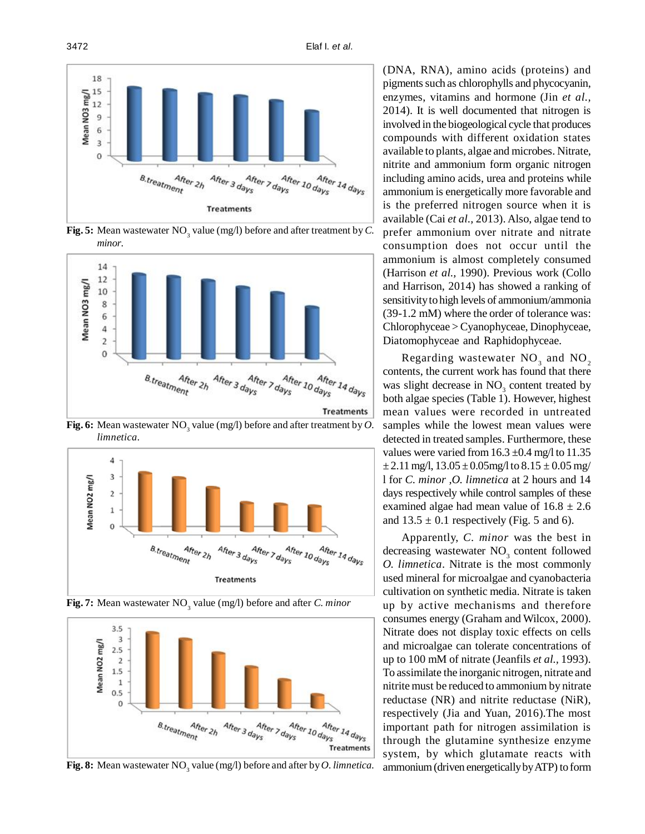

**Fig. 5:** Mean wastewater  $NO_3$  value (mg/l) before and after treatment by  $C$ . *minor*.



**Fig. 6:** Mean wastewater  $NO_3$  value (mg/l) before and after treatment by  $O$ . *limnetica.*





**Fig. 7:** Mean wastewater NO<sub>3</sub> value (mg/l) before and after *C. minor* 

**Fig. 8:** Mean wastewater  $NO_3$  value (mg/l) before and after by  $O$ . limnetica.

(DNA, RNA), amino acids (proteins) and pigments such as chlorophylls and phycocyanin, enzymes, vitamins and hormone (Jin *et al.,* 2014). It is well documented that nitrogen is involved in the biogeological cycle that produces compounds with different oxidation states available to plants, algae and microbes. Nitrate, nitrite and ammonium form organic nitrogen including amino acids, urea and proteins while ammonium is energetically more favorable and is the preferred nitrogen source when it is available (Cai *et al.,* 2013). Also, algae tend to prefer ammonium over nitrate and nitrate consumption does not occur until the ammonium is almost completely consumed (Harrison *et al.,* 1990). Previous work (Collo and Harrison, 2014) has showed a ranking of sensitivity to high levels of ammonium/ammonia (39-1.2 mM) where the order of tolerance was: Chlorophyceae > Cyanophyceae, Dinophyceae, Diatomophyceae and Raphidophyceae.

Regarding wastewater  $NO_3$  and  $NO_2$ contents, the current work has found that there was slight decrease in  $NO<sub>3</sub>$  content treated by both algae species (Table 1). However, highest mean values were recorded in untreated samples while the lowest mean values were detected in treated samples. Furthermore, these values were varied from  $16.3 \pm 0.4$  mg/l to  $11.35$  $\pm 2.11$  mg/l,  $13.05 \pm 0.05$  mg/l to  $8.15 \pm 0.05$  mg/ l for *C. minor ,O. limnetica* at 2 hours and 14 days respectively while control samples of these examined algae had mean value of  $16.8 \pm 2.6$ and  $13.5 \pm 0.1$  respectively (Fig. 5 and 6).

Apparently, *C. minor* was the best in decreasing wastewater  $NO<sub>3</sub>$  content followed *O. limnetica*. Nitrate is the most commonly used mineral for microalgae and cyanobacteria cultivation on synthetic media. Nitrate is taken up by active mechanisms and therefore consumes energy (Graham and Wilcox, 2000). Nitrate does not display toxic effects on cells and microalgae can tolerate concentrations of up to 100 mM of nitrate (Jeanfils *et al.,* 1993). To assimilate the inorganic nitrogen, nitrate and nitrite must be reduced to ammonium by nitrate reductase (NR) and nitrite reductase (NiR), respectively (Jia and Yuan, 2016).The most important path for nitrogen assimilation is through the glutamine synthesize enzyme system, by which glutamate reacts with ammonium (driven energetically by ATP) to form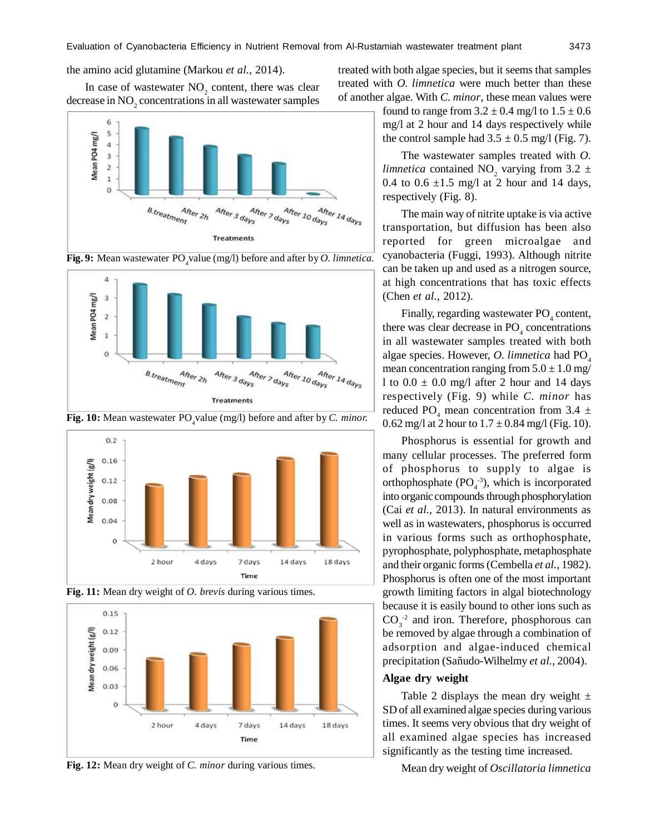the amino acid glutamine (Markou *et al.,* 2014).

In case of wastewater  $NO_2$  content, there was clear decrease in  $\mathrm{NO}_2$  concentrations in all wastewater samples



**Fig. 9:** Mean wastewater PO<sub>4</sub>value (mg/l) before and after by *O. limnetica.* 



**Fig. 10:** Mean wastewater PO<sub>4</sub> value (mg/l) before and after by *C. minor.* 







**Fig. 12:** Mean dry weight of *C. minor* during various times.

found to range from  $3.2 \pm 0.4$  mg/l to  $1.5 \pm 0.6$ mg/l at 2 hour and 14 days respectively while treated with both algae species, but it seems that samples treated with *O. limnetica* were much better than these of another algae. With *C. minor*, these mean values were

the control sample had  $3.5 \pm 0.5$  mg/l (Fig. 7).

The wastewater samples treated with *O. limnetica* contained NO<sub>2</sub> varying from 3.2  $\pm$ 0.4 to 0.6  $\pm$ 1.5 mg/l at 2 hour and 14 days, respectively (Fig. 8).

The main way of nitrite uptake is via active transportation, but diffusion has been also reported for green microalgae and cyanobacteria (Fuggi, 1993). Although nitrite can be taken up and used as a nitrogen source, at high concentrations that has toxic effects (Chen *et al.,* 2012).

Finally, regarding wastewater  $PO_4$  content, there was clear decrease in  $PO_4$  concentrations in all wastewater samples treated with both algae species. However, *O. limnetica* had PO<sub>4</sub> mean concentration ranging from  $5.0 \pm 1.0$  mg/ l to  $0.0 \pm 0.0$  mg/l after 2 hour and 14 days respectively (Fig. 9) while *C. minor* has reduced PO<sub>4</sub> mean concentration from 3.4  $\pm$ 0.62 mg/l at 2 hour to  $1.7 \pm 0.84$  mg/l (Fig. 10).

Phosphorus is essential for growth and many cellular processes. The preferred form of phosphorus to supply to algae is orthophosphate  $(PO<sub>4</sub><sup>-3</sup>)$ , which is incorporated into organic compounds through phosphorylation (Cai *et al.,* 2013). In natural environments as well as in wastewaters, phosphorus is occurred in various forms such as orthophosphate, pyrophosphate, polyphosphate, metaphosphate and their organic forms (Cembella *et al.,* 1982). Phosphorus is often one of the most important growth limiting factors in algal biotechnology because it is easily bound to other ions such as  $CO_3^{-2}$  and iron. Therefore, phosphorous can be removed by algae through a combination of adsorption and algae-induced chemical precipitation (Sañudo-Wilhelmy *et al.,* 2004).

#### **Algae dry weight**

Table 2 displays the mean dry weight  $\pm$ SD of all examined algae species during various times. It seems very obvious that dry weight of all examined algae species has increased significantly as the testing time increased.

Mean dry weight of *Oscillatoria limnetica*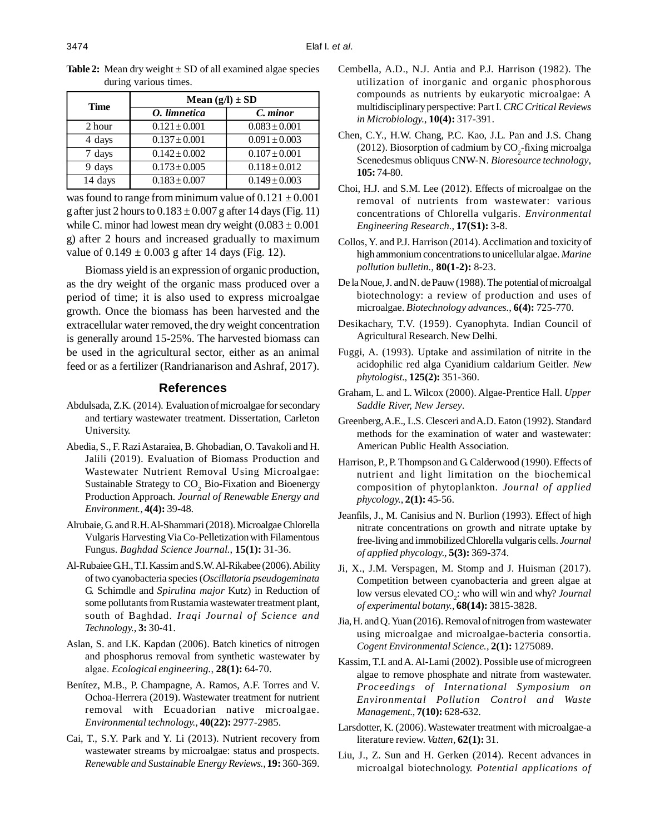| <b>Time</b> | Mean $(g/l) \pm SD$ |                   |  |  |  |
|-------------|---------------------|-------------------|--|--|--|
|             | O. limnetica        | C. minor          |  |  |  |
| 2 hour      | $0.121 \pm 0.001$   | $0.083 \pm 0.001$ |  |  |  |
| 4 days      | $0.137 \pm 0.001$   | $0.091 \pm 0.003$ |  |  |  |
| 7 days      | $0.142 \pm 0.002$   | $0.107 \pm 0.001$ |  |  |  |
| 9 days      | $0.173 \pm 0.005$   | $0.118 \pm 0.012$ |  |  |  |
| 14 days     | $0.183 \pm 0.007$   | $0.149 \pm 0.003$ |  |  |  |

**Table 2:** Mean dry weight  $\pm$  SD of all examined algae species during various times.

was found to range from minimum value of  $0.121 \pm 0.001$ g after just 2 hours to  $0.183 \pm 0.007$  g after 14 days (Fig. 11) while C. minor had lowest mean dry weight  $(0.083 \pm 0.001)$ g) after 2 hours and increased gradually to maximum value of  $0.149 \pm 0.003$  g after 14 days (Fig. 12).

Biomass yield is an expression of organic production, as the dry weight of the organic mass produced over a period of time; it is also used to express microalgae growth. Once the biomass has been harvested and the extracellular water removed, the dry weight concentration is generally around 15-25%. The harvested biomass can be used in the agricultural sector, either as an animal feed or as a fertilizer (Randrianarison and Ashraf, 2017).

## **References**

- Abdulsada, Z.K. (2014). Evaluation of microalgae for secondary and tertiary wastewater treatment. Dissertation, Carleton University.
- Abedia, S., F. Razi Astaraiea, B. Ghobadian, O. Tavakoli and H. Jalili (2019). Evaluation of Biomass Production and Wastewater Nutrient Removal Using Microalgae: Sustainable Strategy to  $CO<sub>2</sub>$  Bio-Fixation and Bioenergy Production Approach. *Journal of Renewable Energy and Environment.*, **4(4):** 39-48.
- Alrubaie, G. and R.H. Al-Shammari (2018). Microalgae Chlorella Vulgaris Harvesting Via Co-Pelletization with Filamentous Fungus. *Baghdad Science Journal.*, **15(1):** 31-36.
- Al-Rubaiee G.H., T.I. Kassim and S.W. Al-Rikabee (2006). Ability of two cyanobacteria species (*Oscillatoria pseudogeminata* G. Schimdle and *Spirulina major* Kutz) in Reduction of some pollutants from Rustamia wastewater treatment plant, south of Baghdad. *Iraqi Journal of Science and Technology.*, **3:** 30-41.
- Aslan, S. and I.K. Kapdan (2006). Batch kinetics of nitrogen and phosphorus removal from synthetic wastewater by algae. *Ecological engineering.*, **28(1):** 64-70.
- Benítez, M.B., P. Champagne, A. Ramos, A.F. Torres and V. Ochoa-Herrera (2019). Wastewater treatment for nutrient removal with Ecuadorian native microalgae. *Environmental technology.,* **40(22):** 2977-2985.
- Cai, T., S.Y. Park and Y. Li (2013). Nutrient recovery from wastewater streams by microalgae: status and prospects. *Renewable and Sustainable Energy Reviews.,* **19:** 360-369.
- Cembella, A.D., N.J. Antia and P.J. Harrison (1982). The utilization of inorganic and organic phosphorous compounds as nutrients by eukaryotic microalgae: A multidisciplinary perspective: Part I. *CRC Critical Reviews in Microbiology.*, **10(4):** 317-391.
- Chen, C.Y., H.W. Chang, P.C. Kao, J.L. Pan and J.S. Chang (2012). Biosorption of cadmium by  $\mathrm{CO}_2$ -fixing microalga Scenedesmus obliquus CNW-N. *Bioresource technology*, **105:** 74-80.
- Choi, H.J. and S.M. Lee (2012). Effects of microalgae on the removal of nutrients from wastewater: various concentrations of Chlorella vulgaris. *Environmental Engineering Research.*, **17(S1):** 3-8.
- Collos, Y. and P.J. Harrison (2014). Acclimation and toxicity of high ammonium concentrations to unicellular algae. *Marine pollution bulletin.,* **80(1-2):** 8-23.
- De la Noue, J. and N. de Pauw (1988). The potential of microalgal biotechnology: a review of production and uses of microalgae. *Biotechnology advances.*, **6(4):** 725-770.
- Desikachary, T.V. (1959). Cyanophyta. Indian Council of Agricultural Research. New Delhi.
- Fuggi, A. (1993). Uptake and assimilation of nitrite in the acidophilic red alga Cyanidium caldarium Geitler. *New phytologist.,* **125(2):** 351-360.
- Graham, L. and L. Wilcox (2000). Algae-Prentice Hall. *Upper Saddle River, New Jersey*.
- Greenberg, A.E., L.S. Clesceri and A.D. Eaton (1992). Standard methods for the examination of water and wastewater: American Public Health Association.
- Harrison, P., P. Thompson and G. Calderwood (1990). Effects of nutrient and light limitation on the biochemical composition of phytoplankton. *Journal of applied phycology.*, **2(1):** 45-56.
- Jeanfils, J., M. Canisius and N. Burlion (1993). Effect of high nitrate concentrations on growth and nitrate uptake by free-living and immobilized Chlorella vulgaris cells. *Journal of applied phycology.,* **5(3):** 369-374.
- Ji, X., J.M. Verspagen, M. Stomp and J. Huisman (2017). Competition between cyanobacteria and green algae at low versus elevated CO<sub>2</sub>: who will win and why? *Journal of experimental botany.*, **68(14):** 3815-3828.
- Jia, H. and Q. Yuan (2016). Removal of nitrogen from wastewater using microalgae and microalgae-bacteria consortia. *Cogent Environmental Science.,* **2(1):** 1275089.
- Kassim, T.I. and A. Al-Lami (2002). Possible use of microgreen algae to remove phosphate and nitrate from wastewater. *Proceedings of International Symposium on Environmental Pollution Control and Waste Management.*, **7(10):** 628-632.
- Larsdotter, K. (2006). Wastewater treatment with microalgae-a literature review. *Vatten*, **62(1):** 31.
- Liu, J., Z. Sun and H. Gerken (2014). Recent advances in microalgal biotechnology. *Potential applications of*